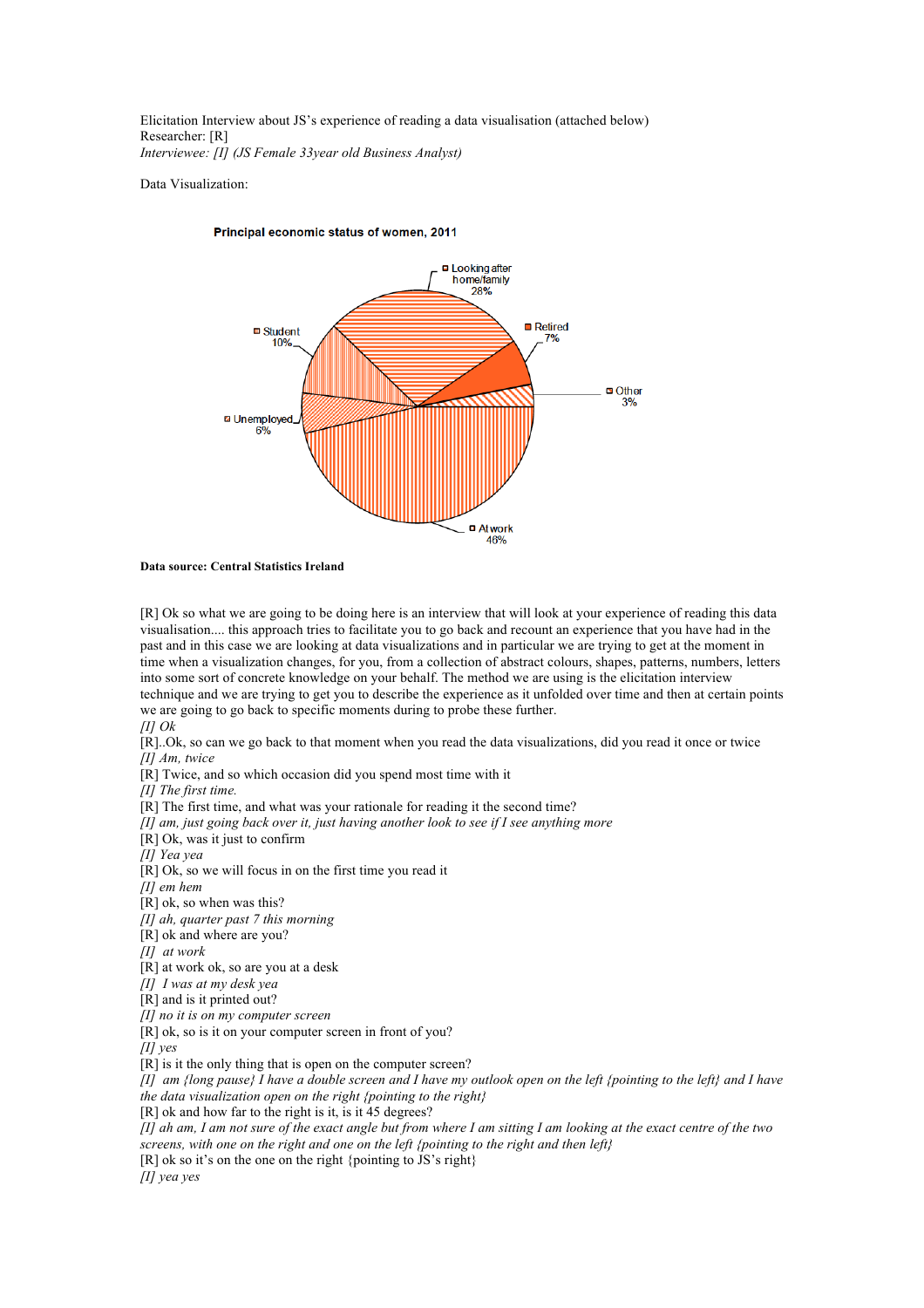Elicitation Interview about JS's experience of reading a data visualisation (attached below) Researcher: [R] *Interviewee: [I] (JS Female 33year old Business Analyst)*

Data Visualization:



## Principal economic status of women, 2011

## **Data source: Central Statistics Ireland**

[R] Ok so what we are going to be doing here is an interview that will look at your experience of reading this data visualisation.... this approach tries to facilitate you to go back and recount an experience that you have had in the past and in this case we are looking at data visualizations and in particular we are trying to get at the moment in time when a visualization changes, for you, from a collection of abstract colours, shapes, patterns, numbers, letters into some sort of concrete knowledge on your behalf. The method we are using is the elicitation interview technique and we are trying to get you to describe the experience as it unfolded over time and then at certain points

we are going to go back to specific moments during to probe these further.

*[I] Ok*

[R]..Ok, so can we go back to that moment when you read the data visualizations, did you read it once or twice *[I] Am, twice*

[R] Twice, and so which occasion did you spend most time with it

*[I] The first time.*

[R] The first time, and what was your rationale for reading it the second time?

*[I] am, just going back over it, just having another look to see if I see anything more*

[R] Ok, was it just to confirm

*[I] Yea yea*

[R] Ok, so we will focus in on the first time you read it

*[I] em hem* 

[R] ok, so when was this?

*[I] ah, quarter past 7 this morning* 

[R] ok and where are you?

*[I] at work*

[R] at work ok, so are you at a desk

*[I] I was at my desk yea*

[R] and is it printed out?

*[I] no it is on my computer screen*

[R] ok, so is it on your computer screen in front of you?

*[I] yes*

[R] is it the only thing that is open on the computer screen?

*[I] am {long pause} I have a double screen and I have my outlook open on the left {pointing to the left} and I have the data visualization open on the right {pointing to the right}* 

[R] ok and how far to the right is it, is it 45 degrees?

*[I] ah am, I am not sure of the exact angle but from where I am sitting I am looking at the exact centre of the two screens, with one on the right and one on the left {pointing to the right and then left}*

[R] ok so it's on the one on the right {pointing to JS's right}

*[I] yea yes*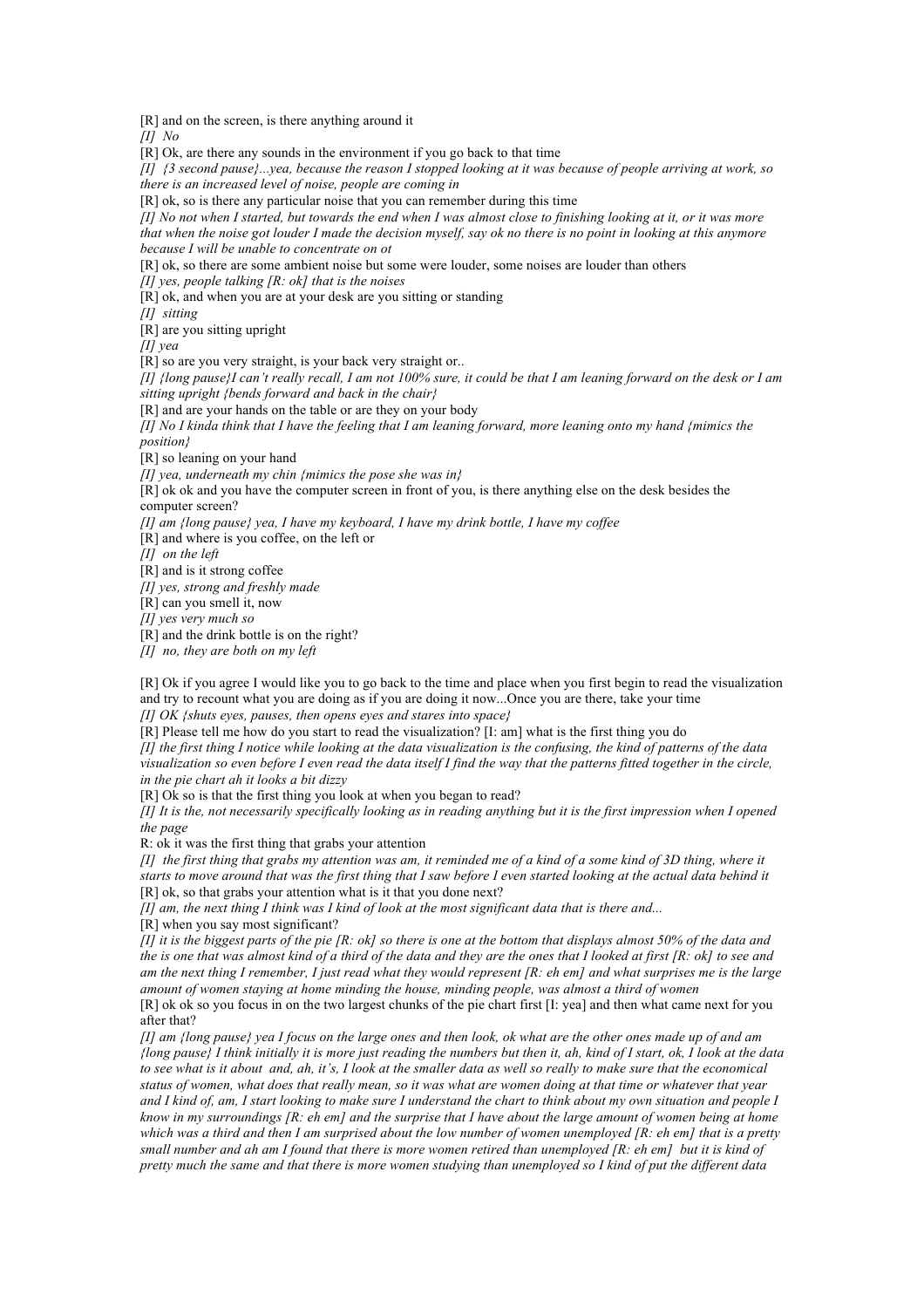[R] and on the screen, is there anything around it

*[I] No*

[R] Ok, are there any sounds in the environment if you go back to that time

*[I] {3 second pause}...yea, because the reason I stopped looking at it was because of people arriving at work, so there is an increased level of noise, people are coming in* 

[R] ok, so is there any particular noise that you can remember during this time

*[I] No not when I started, but towards the end when I was almost close to finishing looking at it, or it was more that when the noise got louder I made the decision myself, say ok no there is no point in looking at this anymore because I will be unable to concentrate on ot* 

[R] ok, so there are some ambient noise but some were louder, some noises are louder than others

*[I] yes, people talking [R: ok] that is the noises* 

[R] ok, and when you are at your desk are you sitting or standing

*[I] sitting* 

[R] are you sitting upright

*[I] yea*

[R] so are you very straight, is your back very straight or...

*[I] {long pause}I can't really recall, I am not 100% sure, it could be that I am leaning forward on the desk or I am sitting upright {bends forward and back in the chair}*

[R] and are your hands on the table or are they on your body

*[I] No I kinda think that I have the feeling that I am leaning forward, more leaning onto my hand {mimics the position}*

[R] so leaning on your hand

*[I] yea, underneath my chin {mimics the pose she was in}* 

[R] ok ok and you have the computer screen in front of you, is there anything else on the desk besides the computer screen?

*[I] am {long pause} yea, I have my keyboard, I have my drink bottle, I have my coffee*

[R] and where is you coffee, on the left or

*[I] on the left*

[R] and is it strong coffee

*[I] yes, strong and freshly made*

[R] can you smell it, now

*[I] yes very much so*

[R] and the drink bottle is on the right?

*[I] no, they are both on my left* 

[R] Ok if you agree I would like you to go back to the time and place when you first begin to read the visualization and try to recount what you are doing as if you are doing it now...Once you are there, take your time

*[I] OK {shuts eyes, pauses, then opens eyes and stares into space}*

[R] Please tell me how do you start to read the visualization? [I: am] what is the first thing you do *[I] the first thing I notice while looking at the data visualization is the confusing, the kind of patterns of the data visualization so even before I even read the data itself I find the way that the patterns fitted together in the circle, in the pie chart ah it looks a bit dizzy* 

[R] Ok so is that the first thing you look at when you began to read?

*[I] It is the, not necessarily specifically looking as in reading anything but it is the first impression when I opened the page*

R: ok it was the first thing that grabs your attention

*[I] the first thing that grabs my attention was am, it reminded me of a kind of a some kind of 3D thing, where it starts to move around that was the first thing that I saw before I even started looking at the actual data behind it*  [R] ok, so that grabs your attention what is it that you done next?

*[I] am, the next thing I think was I kind of look at the most significant data that is there and...*

[R] when you say most significant?

*[I] it is the biggest parts of the pie [R: ok] so there is one at the bottom that displays almost 50% of the data and the is one that was almost kind of a third of the data and they are the ones that I looked at first [R: ok] to see and am the next thing I remember, I just read what they would represent [R: eh em] and what surprises me is the large amount of women staying at home minding the house, minding people, was almost a third of women*

[R] ok ok so you focus in on the two largest chunks of the pie chart first [I: yea] and then what came next for you after that?

*[I] am {long pause} yea I focus on the large ones and then look, ok what are the other ones made up of and am {long pause} I think initially it is more just reading the numbers but then it, ah, kind of I start, ok, I look at the data to see what is it about and, ah, it's, I look at the smaller data as well so really to make sure that the economical status of women, what does that really mean, so it was what are women doing at that time or whatever that year and I kind of, am, I start looking to make sure I understand the chart to think about my own situation and people I know in my surroundings [R: eh em] and the surprise that I have about the large amount of women being at home which was a third and then I am surprised about the low number of women unemployed [R: eh em] that is a pretty small number and ah am I found that there is more women retired than unemployed [R: eh em] but it is kind of pretty much the same and that there is more women studying than unemployed so I kind of put the different data*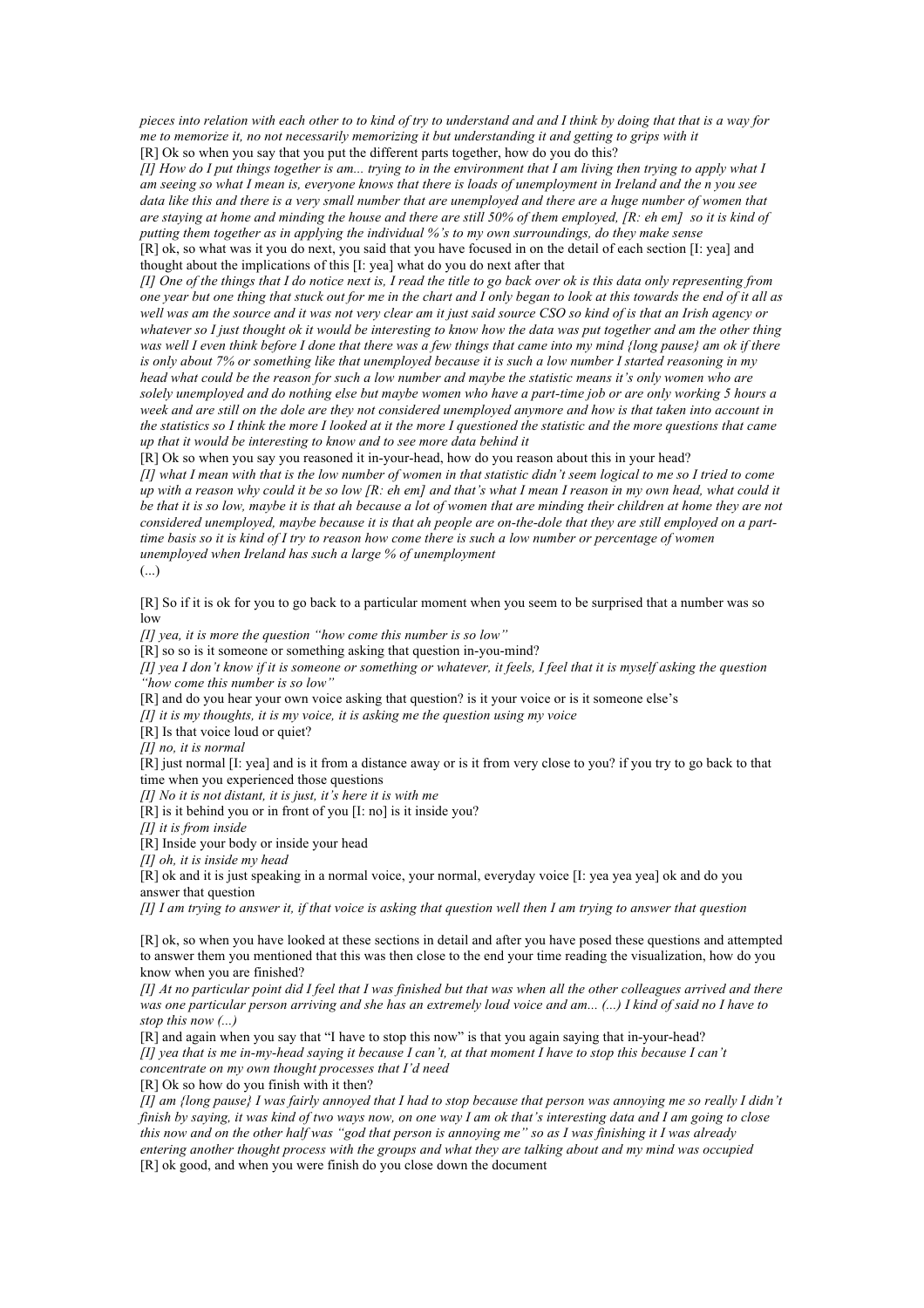*pieces into relation with each other to to kind of try to understand and and I think by doing that that is a way for me to memorize it, no not necessarily memorizing it but understanding it and getting to grips with it*  [R] Ok so when you say that you put the different parts together, how do you do this?

*[I] How do I put things together is am... trying to in the environment that I am living then trying to apply what I am seeing so what I mean is, everyone knows that there is loads of unemployment in Ireland and the n you see*  data like this and there is a very small number that are unemployed and there are a huge number of women that *are staying at home and minding the house and there are still 50% of them employed, [R: eh em] so it is kind of putting them together as in applying the individual %'s to my own surroundings, do they make sense*  [R] ok, so what was it you do next, you said that you have focused in on the detail of each section [I: yea] and thought about the implications of this [I: yea] what do you do next after that

*[I] One of the things that I do notice next is, I read the title to go back over ok is this data only representing from one year but one thing that stuck out for me in the chart and I only began to look at this towards the end of it all as well was am the source and it was not very clear am it just said source CSO so kind of is that an Irish agency or whatever so I just thought ok it would be interesting to know how the data was put together and am the other thing was well I even think before I done that there was a few things that came into my mind {long pause} am ok if there is only about 7% or something like that unemployed because it is such a low number I started reasoning in my head what could be the reason for such a low number and maybe the statistic means it's only women who are solely unemployed and do nothing else but maybe women who have a part-time job or are only working 5 hours a week and are still on the dole are they not considered unemployed anymore and how is that taken into account in the statistics so I think the more I looked at it the more I questioned the statistic and the more questions that came up that it would be interesting to know and to see more data behind it*

[R] Ok so when you say you reasoned it in-your-head, how do you reason about this in your head?

*[I] what I mean with that is the low number of women in that statistic didn't seem logical to me so I tried to come up with a reason why could it be so low [R: eh em] and that's what I mean I reason in my own head, what could it be that it is so low, maybe it is that ah because a lot of women that are minding their children at home they are not considered unemployed, maybe because it is that ah people are on-the-dole that they are still employed on a parttime basis so it is kind of I try to reason how come there is such a low number or percentage of women unemployed when Ireland has such a large % of unemployment* 

(...)

[R] So if it is ok for you to go back to a particular moment when you seem to be surprised that a number was so low

*[I] yea, it is more the question "how come this number is so low"*

[R] so so is it someone or something asking that question in-you-mind?

*[I] yea I don't know if it is someone or something or whatever, it feels, I feel that it is myself asking the question "how come this number is so low"*

[R] and do you hear your own voice asking that question? is it your voice or is it someone else's

*[I] it is my thoughts, it is my voice, it is asking me the question using my voice* 

[R] Is that voice loud or quiet?

*[I] no, it is normal*

[R] just normal [I: yea] and is it from a distance away or is it from very close to you? if you try to go back to that time when you experienced those questions

*[I] No it is not distant, it is just, it's here it is with me* 

[R] is it behind you or in front of you [I: no] is it inside you?

*[I] it is from inside* 

[R] Inside your body or inside your head

*[I] oh, it is inside my head* 

[R] ok and it is just speaking in a normal voice, your normal, everyday voice [I: yea yea yea] ok and do you answer that question

*[I] I am trying to answer it, if that voice is asking that question well then I am trying to answer that question* 

[R] ok, so when you have looked at these sections in detail and after you have posed these questions and attempted to answer them you mentioned that this was then close to the end your time reading the visualization, how do you know when you are finished?

*[I] At no particular point did I feel that I was finished but that was when all the other colleagues arrived and there*  was one particular person arriving and she has an extremely loud voice and am... (...) I kind of said no I have to *stop this now (...)*

[R] and again when you say that "I have to stop this now" is that you again saying that in-your-head? *[I] yea that is me in-my-head saying it because I can't, at that moment I have to stop this because I can't concentrate on my own thought processes that I'd need* 

[R] Ok so how do you finish with it then?

*[I] am {long pause} I was fairly annoyed that I had to stop because that person was annoying me so really I didn't finish by saying, it was kind of two ways now, on one way I am ok that's interesting data and I am going to close this now and on the other half was "god that person is annoying me" so as I was finishing it I was already entering another thought process with the groups and what they are talking about and my mind was occupied*  [R] ok good, and when you were finish do you close down the document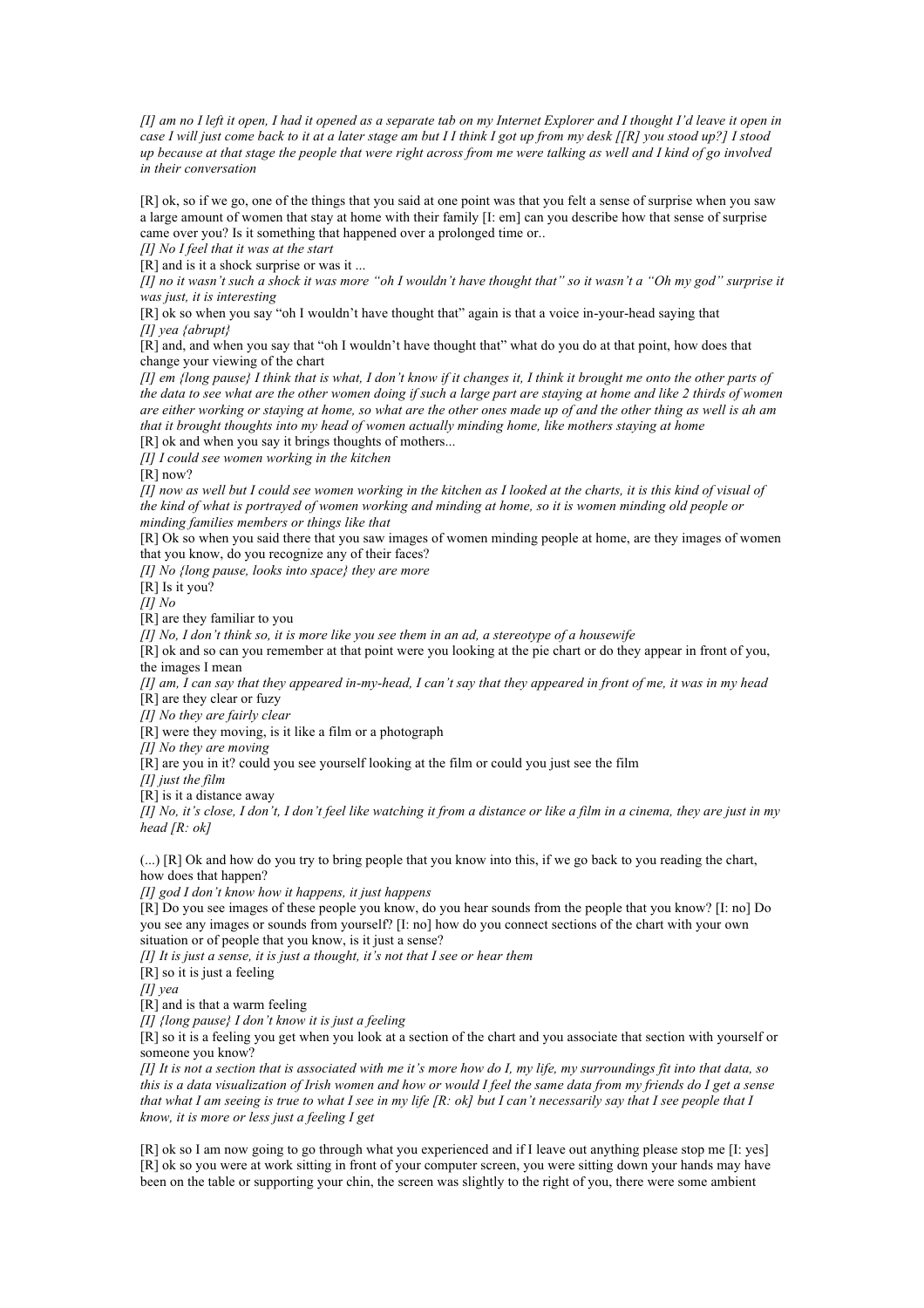*[I] am no I left it open, I had it opened as a separate tab on my Internet Explorer and I thought I'd leave it open in case I will just come back to it at a later stage am but I I think I got up from my desk [[R] you stood up?] I stood up because at that stage the people that were right across from me were talking as well and I kind of go involved in their conversation* 

[R] ok, so if we go, one of the things that you said at one point was that you felt a sense of surprise when you saw a large amount of women that stay at home with their family [I: em] can you describe how that sense of surprise came over you? Is it something that happened over a prolonged time or..

*[I] No I feel that it was at the start* 

[R] and is it a shock surprise or was it ...

*[I] no it wasn't such a shock it was more "oh I wouldn't have thought that" so it wasn't a "Oh my god" surprise it was just, it is interesting* 

[R] ok so when you say "oh I wouldn't have thought that" again is that a voice in-your-head saying that *[I] yea {abrupt}*

[R] and, and when you say that "oh I wouldn't have thought that" what do you do at that point, how does that change your viewing of the chart

*[I] em {long pause} I think that is what, I don't know if it changes it, I think it brought me onto the other parts of*  the data to see what are the other women doing if such a large part are staying at home and like 2 thirds of women *are either working or staying at home, so what are the other ones made up of and the other thing as well is ah am that it brought thoughts into my head of women actually minding home, like mothers staying at home* 

[R] ok and when you say it brings thoughts of mothers...

*[I] I could see women working in the kitchen*

[R] now?

*[I] now as well but I could see women working in the kitchen as I looked at the charts, it is this kind of visual of the kind of what is portrayed of women working and minding at home, so it is women minding old people or minding families members or things like that* 

[R] Ok so when you said there that you saw images of women minding people at home, are they images of women that you know, do you recognize any of their faces?

*[I] No {long pause, looks into space} they are more*

[R] Is it you?

*[I] No*

[R] are they familiar to you

*[I] No, I don't think so, it is more like you see them in an ad, a stereotype of a housewife* 

[R] ok and so can you remember at that point were you looking at the pie chart or do they appear in front of you, the images I mean

*[I] am, I can say that they appeared in-my-head, I can't say that they appeared in front of me, it was in my head* [R] are they clear or fuzy

*[I] No they are fairly clear*

[R] were they moving, is it like a film or a photograph

*[I] No they are moving* 

[R] are you in it? could you see yourself looking at the film or could you just see the film

*[I] just the film*

[R] is it a distance away

*[I] No, it's close, I don't, I don't feel like watching it from a distance or like a film in a cinema, they are just in my head [R: ok]*

(...) [R] Ok and how do you try to bring people that you know into this, if we go back to you reading the chart, how does that happen?

*[I] god I don't know how it happens, it just happens* 

[R] Do you see images of these people you know, do you hear sounds from the people that you know? [I: no] Do you see any images or sounds from yourself? [I: no] how do you connect sections of the chart with your own situation or of people that you know, is it just a sense?

*[I] It is just a sense, it is just a thought, it's not that I see or hear them* 

[R] so it is just a feeling

*[I] yea*

[R] and is that a warm feeling

*[I] {long pause} I don't know it is just a feeling* 

[R] so it is a feeling you get when you look at a section of the chart and you associate that section with yourself or someone you know?

*[I] It is not a section that is associated with me it's more how do I, my life, my surroundings fit into that data, so this is a data visualization of Irish women and how or would I feel the same data from my friends do I get a sense that what I am seeing is true to what I see in my life [R: ok] but I can't necessarily say that I see people that I know, it is more or less just a feeling I get* 

[R] ok so I am now going to go through what you experienced and if I leave out anything please stop me [I: yes] [R] ok so you were at work sitting in front of your computer screen, you were sitting down your hands may have been on the table or supporting your chin, the screen was slightly to the right of you, there were some ambient